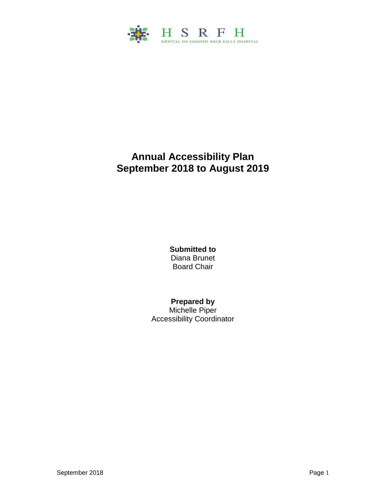

# **Annual Accessibility Plan September 2018 to August 2019**

**Submitted to**  Diana Brunet Board Chair

### **Prepared by**

Michelle Piper Accessibility Coordinator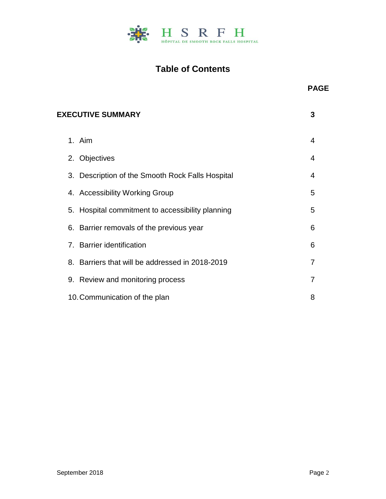

# **Table of Contents**

| 2. Objectives                                    | $\overline{4}$ |
|--------------------------------------------------|----------------|
| 3. Description of the Smooth Rock Falls Hospital | 4              |
| 4. Accessibility Working Group                   | 5              |
| 5. Hospital commitment to accessibility planning | 5              |
| 6. Barrier removals of the previous year         | 6              |
| 7. Barrier identification                        | 6              |
| 8. Barriers that will be addressed in 2018-2019  | $\overline{7}$ |
| 9. Review and monitoring process                 | 7              |
| 10. Communication of the plan                    | 8              |

**PAGE**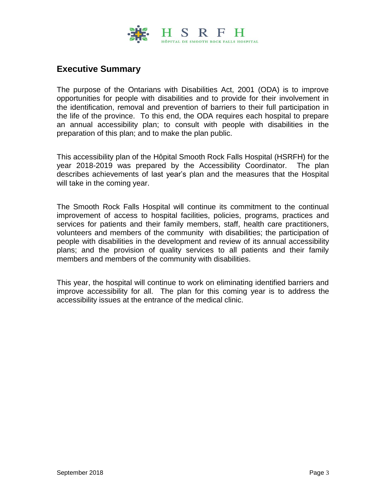

## **Executive Summary**

The purpose of the Ontarians with Disabilities Act, 2001 (ODA) is to improve opportunities for people with disabilities and to provide for their involvement in the identification, removal and prevention of barriers to their full participation in the life of the province. To this end, the ODA requires each hospital to prepare an annual accessibility plan; to consult with people with disabilities in the preparation of this plan; and to make the plan public.

This accessibility plan of the Hôpital Smooth Rock Falls Hospital (HSRFH) for the year 2018-2019 was prepared by the Accessibility Coordinator. The plan describes achievements of last year's plan and the measures that the Hospital will take in the coming year.

The Smooth Rock Falls Hospital will continue its commitment to the continual improvement of access to hospital facilities, policies, programs, practices and services for patients and their family members, staff, health care practitioners, volunteers and members of the community with disabilities; the participation of people with disabilities in the development and review of its annual accessibility plans; and the provision of quality services to all patients and their family members and members of the community with disabilities.

This year, the hospital will continue to work on eliminating identified barriers and improve accessibility for all. The plan for this coming year is to address the accessibility issues at the entrance of the medical clinic.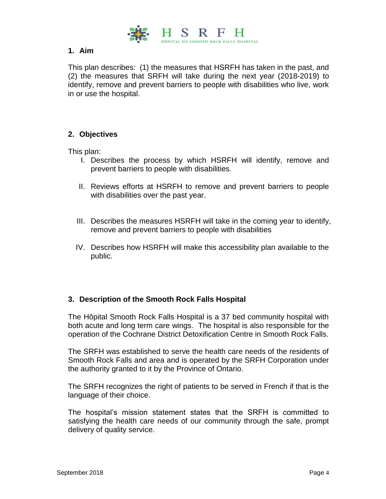

#### **1. Aim**

This plan describes: (1) the measures that HSRFH has taken in the past, and (2) the measures that SRFH will take during the next year (2018-2019) to identify, remove and prevent barriers to people with disabilities who live, work in or use the hospital.

#### **2. Objectives**

This plan:

- I. Describes the process by which HSRFH will identify, remove and prevent barriers to people with disabilities.
- II. Reviews efforts at HSRFH to remove and prevent barriers to people with disabilities over the past year.
- III. Describes the measures HSRFH will take in the coming year to identify, remove and prevent barriers to people with disabilities
- IV. Describes how HSRFH will make this accessibility plan available to the public.

#### **3. Description of the Smooth Rock Falls Hospital**

The Hôpital Smooth Rock Falls Hospital is a 37 bed community hospital with both acute and long term care wings. The hospital is also responsible for the operation of the Cochrane District Detoxification Centre in Smooth Rock Falls.

The SRFH was established to serve the health care needs of the residents of Smooth Rock Falls and area and is operated by the SRFH Corporation under the authority granted to it by the Province of Ontario.

The SRFH recognizes the right of patients to be served in French if that is the language of their choice.

The hospital's mission statement states that the SRFH is committed to satisfying the health care needs of our community through the safe, prompt delivery of quality service.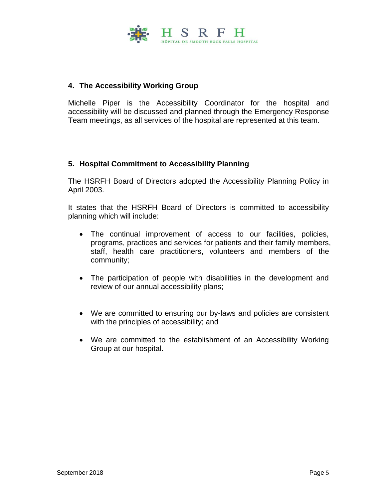

### **4. The Accessibility Working Group**

Michelle Piper is the Accessibility Coordinator for the hospital and accessibility will be discussed and planned through the Emergency Response Team meetings, as all services of the hospital are represented at this team.

#### **5. Hospital Commitment to Accessibility Planning**

The HSRFH Board of Directors adopted the Accessibility Planning Policy in April 2003.

It states that the HSRFH Board of Directors is committed to accessibility planning which will include:

- The continual improvement of access to our facilities, policies, programs, practices and services for patients and their family members, staff, health care practitioners, volunteers and members of the community;
- The participation of people with disabilities in the development and review of our annual accessibility plans;
- We are committed to ensuring our by-laws and policies are consistent with the principles of accessibility; and
- We are committed to the establishment of an Accessibility Working Group at our hospital.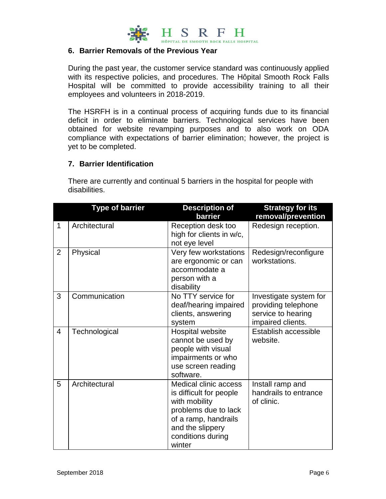

#### **6. Barrier Removals of the Previous Year**

During the past year, the customer service standard was continuously applied with its respective policies, and procedures. The Hôpital Smooth Rock Falls Hospital will be committed to provide accessibility training to all their employees and volunteers in 2018-2019.

The HSRFH is in a continual process of acquiring funds due to its financial deficit in order to eliminate barriers. Technological services have been obtained for website revamping purposes and to also work on ODA compliance with expectations of barrier elimination; however, the project is yet to be completed.

#### **7. Barrier Identification**

There are currently and continual 5 barriers in the hospital for people with disabilities.

|                | <b>Type of barrier</b> | <b>Description of</b><br>barrier                                                                                                                                            | <b>Strategy for its</b><br>removal/prevention                                            |
|----------------|------------------------|-----------------------------------------------------------------------------------------------------------------------------------------------------------------------------|------------------------------------------------------------------------------------------|
| $\mathbf{1}$   | Architectural          | Reception desk too<br>high for clients in w/c,<br>not eye level                                                                                                             | Redesign reception.                                                                      |
| $\overline{2}$ | Physical               | Very few workstations<br>are ergonomic or can<br>accommodate a<br>person with a<br>disability                                                                               | Redesign/reconfigure<br>workstations.                                                    |
| 3              | Communication          | No TTY service for<br>deaf/hearing impaired<br>clients, answering<br>system                                                                                                 | Investigate system for<br>providing telephone<br>service to hearing<br>impaired clients. |
| $\overline{4}$ | Technological          | Hospital website<br>cannot be used by<br>people with visual<br>impairments or who<br>use screen reading<br>software.                                                        | Establish accessible<br>website.                                                         |
| 5              | Architectural          | <b>Medical clinic access</b><br>is difficult for people<br>with mobility<br>problems due to lack<br>of a ramp, handrails<br>and the slippery<br>conditions during<br>winter | Install ramp and<br>handrails to entrance<br>of clinic.                                  |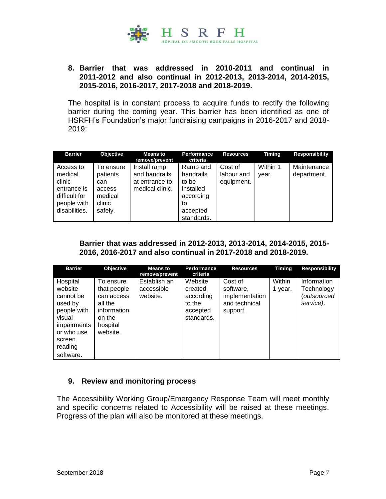

#### **8. Barrier that was addressed in 2010-2011 and continual in 2011-2012 and also continual in 2012-2013, 2013-2014, 2014-2015, 2015-2016, 2016-2017, 2017-2018 and 2018-2019.**

The hospital is in constant process to acquire funds to rectify the following barrier during the coming year. This barrier has been identified as one of HSRFH's Foundation's major fundraising campaigns in 2016-2017 and 2018- 2019:

| <b>Barrier</b>                                                                                 | <b>Objective</b>                                                       | <b>Means to</b><br>remove/prevent                                  | Performance<br>criteria                                                                  | <b>Resources</b>                    | <b>Timing</b>     | <b>Responsibility</b>      |
|------------------------------------------------------------------------------------------------|------------------------------------------------------------------------|--------------------------------------------------------------------|------------------------------------------------------------------------------------------|-------------------------------------|-------------------|----------------------------|
| Access to<br>medical<br>clinic<br>entrance is<br>difficult for<br>people with<br>disabilities. | To ensure<br>patients<br>can<br>access<br>medical<br>clinic<br>safely. | Install ramp<br>and handrails<br>at entrance to<br>medical clinic. | Ramp and<br>handrails<br>to be<br>installed<br>according<br>to<br>accepted<br>standards. | Cost of<br>labour and<br>equipment. | Within 1<br>year. | Maintenance<br>department. |

#### **Barrier that was addressed in 2012-2013, 2013-2014, 2014-2015, 2015- 2016, 2016-2017 and also continual in 2017-2018 and 2018-2019.**

| <b>Barrier</b>                                                                                                                      | Objective                                                                                          | <b>Means to</b><br>remove/prevent      | <b>Performance</b><br>criteria                                      | <b>Resources</b>                                                    | <b>Timing</b>     | Responsibility                                        |
|-------------------------------------------------------------------------------------------------------------------------------------|----------------------------------------------------------------------------------------------------|----------------------------------------|---------------------------------------------------------------------|---------------------------------------------------------------------|-------------------|-------------------------------------------------------|
| Hospital<br>website<br>cannot be<br>used by<br>people with<br>visual<br>impairments<br>or who use<br>screen<br>reading<br>software. | To ensure<br>that people<br>can access<br>all the<br>information<br>on the<br>hospital<br>website. | Establish an<br>accessible<br>website. | Website<br>created<br>according<br>to the<br>accepted<br>standards. | Cost of<br>software,<br>implementation<br>and technical<br>support. | Within<br>1 year. | Information<br>Technology<br>(outsourced<br>service). |

#### **9. Review and monitoring process**

The Accessibility Working Group/Emergency Response Team will meet monthly and specific concerns related to Accessibility will be raised at these meetings. Progress of the plan will also be monitored at these meetings.